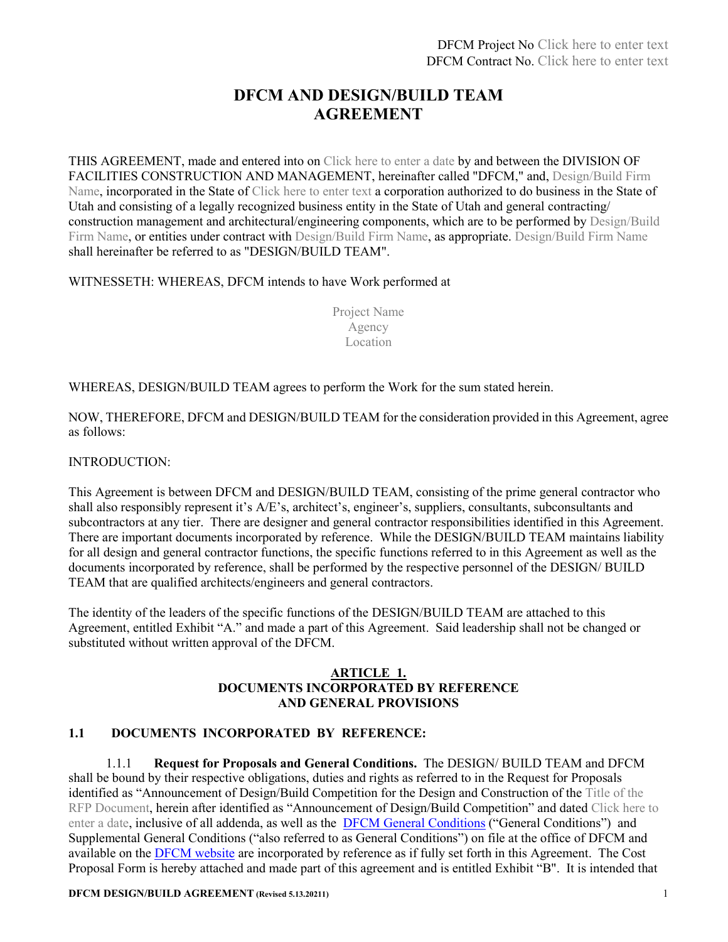## **DFCM AND DESIGN/BUILD TEAM AGREEMENT**

THIS AGREEMENT, made and entered into on Click here to enter a date by and between the DIVISION OF FACILITIES CONSTRUCTION AND MANAGEMENT, hereinafter called "DFCM," and, Design/Build Firm Name, incorporated in the State of Click here to enter text a corporation authorized to do business in the State of Utah and consisting of a legally recognized business entity in the State of Utah and general contracting/ construction management and architectural/engineering components, which are to be performed by Design/Build Firm Name, or entities under contract with Design/Build Firm Name, as appropriate. Design/Build Firm Name shall hereinafter be referred to as "DESIGN/BUILD TEAM".

#### WITNESSETH: WHEREAS, DFCM intends to have Work performed at

Project Name Agency Location

WHEREAS, DESIGN/BUILD TEAM agrees to perform the Work for the sum stated herein.

NOW, THEREFORE, DFCM and DESIGN/BUILD TEAM for the consideration provided in this Agreement, agree as follows:

#### INTRODUCTION:

This Agreement is between DFCM and DESIGN/BUILD TEAM, consisting of the prime general contractor who shall also responsibly represent it's A/E's, architect's, engineer's, suppliers, consultants, subconsultants and subcontractors at any tier. There are designer and general contractor responsibilities identified in this Agreement. There are important documents incorporated by reference. While the DESIGN/BUILD TEAM maintains liability for all design and general contractor functions, the specific functions referred to in this Agreement as well as the documents incorporated by reference, shall be performed by the respective personnel of the DESIGN/ BUILD TEAM that are qualified architects/engineers and general contractors.

The identity of the leaders of the specific functions of the DESIGN/BUILD TEAM are attached to this Agreement, entitled Exhibit "A." and made a part of this Agreement. Said leadership shall not be changed or substituted without written approval of the DFCM.

#### **ARTICLE 1. DOCUMENTS INCORPORATED BY REFERENCE AND GENERAL PROVISIONS**

## **1.1 DOCUMENTS INCORPORATED BY REFERENCE:**

1.1.1 **Request for Proposals and General Conditions.** The DESIGN/ BUILD TEAM and DFCM shall be bound by their respective obligations, duties and rights as referred to in the Request for Proposals identified as "Announcement of Design/Build Competition for the Design and Construction of the Title of the RFP Document, herein after identified as "Announcement of Design/Build Competition" and dated Click here to enter a date, inclusive of all addenda, as well as the **[DFCM General Conditions](https://dfcm.utah.gov/construction-management/#documents)** ("General Conditions") and Supplemental General Conditions ("also referred to as General Conditions") on file at the office of DFCM and available on the [DFCM website](https://dfcm.utah.gov/construction-management/) are incorporated by reference as if fully set forth in this Agreement. The Cost Proposal Form is hereby attached and made part of this agreement and is entitled Exhibit "B". It is intended that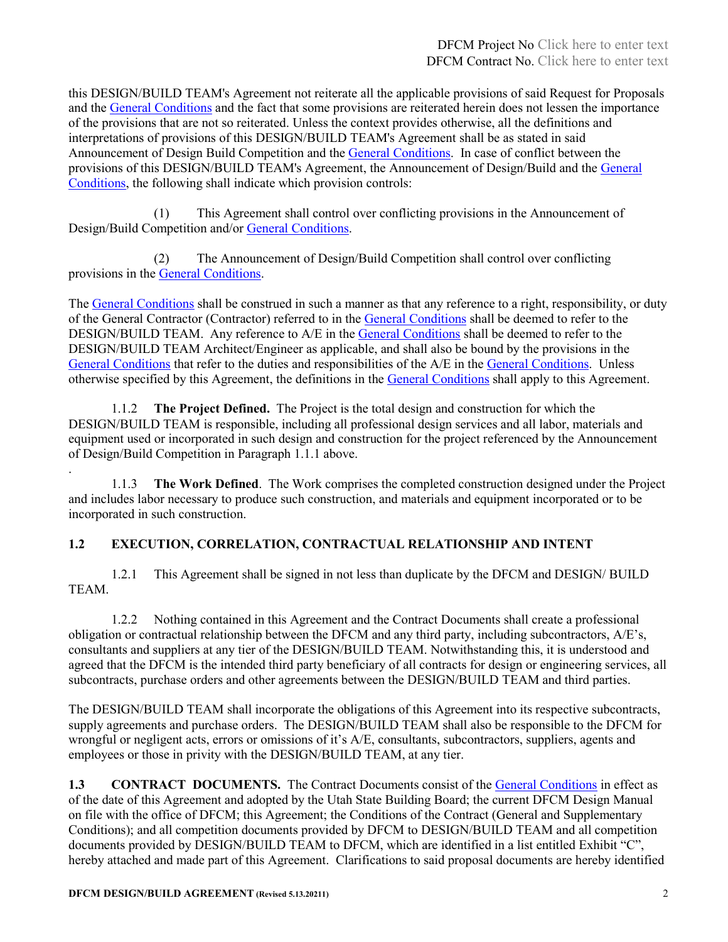this DESIGN/BUILD TEAM's Agreement not reiterate all the applicable provisions of said Request for Proposals and the [General Conditions](https://dfcm.utah.gov/construction-management/#documents) and the fact that some provisions are reiterated herein does not lessen the importance of the provisions that are not so reiterated. Unless the context provides otherwise, all the definitions and interpretations of provisions of this DESIGN/BUILD TEAM's Agreement shall be as stated in said Announcement of Design Build Competition and the [General Conditions.](https://dfcm.utah.gov/construction-management/#documents) In case of conflict between the provisions of this DESIGN/BUILD TEAM's Agreement, the Announcement of Design/Build and the [General](https://dfcm.utah.gov/construction-management/#documents)  [Conditions,](https://dfcm.utah.gov/construction-management/#documents) the following shall indicate which provision controls:

(1) This Agreement shall control over conflicting provisions in the Announcement of Design/Build Competition and/or [General Conditions.](https://dfcm.utah.gov/construction-management/#documents)

(2) The Announcement of Design/Build Competition shall control over conflicting provisions in the **General Conditions**.

The [General Conditions](https://dfcm.utah.gov/construction-management/#documents) shall be construed in such a manner as that any reference to a right, responsibility, or duty of the General Contractor (Contractor) referred to in the [General Conditions](https://dfcm.utah.gov/construction-management/#documents) shall be deemed to refer to the DESIGN/BUILD TEAM. Any reference to A/E in the [General Conditions](https://dfcm.utah.gov/construction-management/#documents) shall be deemed to refer to the DESIGN/BUILD TEAM Architect/Engineer as applicable, and shall also be bound by the provisions in the [General Conditions](https://dfcm.utah.gov/construction-management/#documents) that refer to the duties and responsibilities of the A/E in the [General Conditions.](https://dfcm.utah.gov/construction-management/#documents) Unless otherwise specified by this Agreement, the definitions in the [General Conditions](https://dfcm.utah.gov/construction-management/#documents) shall apply to this Agreement.

1.1.2 **The Project Defined.** The Project is the total design and construction for which the DESIGN/BUILD TEAM is responsible, including all professional design services and all labor, materials and equipment used or incorporated in such design and construction for the project referenced by the Announcement of Design/Build Competition in Paragraph 1.1.1 above.

. 1.1.3 **The Work Defined**. The Work comprises the completed construction designed under the Project and includes labor necessary to produce such construction, and materials and equipment incorporated or to be incorporated in such construction.

## **1.2 EXECUTION, CORRELATION, CONTRACTUAL RELATIONSHIP AND INTENT**

1.2.1 This Agreement shall be signed in not less than duplicate by the DFCM and DESIGN/ BUILD TEAM.

1.2.2 Nothing contained in this Agreement and the Contract Documents shall create a professional obligation or contractual relationship between the DFCM and any third party, including subcontractors, A/E's, consultants and suppliers at any tier of the DESIGN/BUILD TEAM. Notwithstanding this, it is understood and agreed that the DFCM is the intended third party beneficiary of all contracts for design or engineering services, all subcontracts, purchase orders and other agreements between the DESIGN/BUILD TEAM and third parties.

The DESIGN/BUILD TEAM shall incorporate the obligations of this Agreement into its respective subcontracts, supply agreements and purchase orders. The DESIGN/BUILD TEAM shall also be responsible to the DFCM for wrongful or negligent acts, errors or omissions of it's A/E, consultants, subcontractors, suppliers, agents and employees or those in privity with the DESIGN/BUILD TEAM, at any tier.

**1.3 CONTRACT DOCUMENTS.** The Contract Documents consist of the [General Conditions](https://dfcm.utah.gov/construction-management/#documents) in effect as of the date of this Agreement and adopted by the Utah State Building Board; the current DFCM Design Manual on file with the office of DFCM; this Agreement; the Conditions of the Contract (General and Supplementary Conditions); and all competition documents provided by DFCM to DESIGN/BUILD TEAM and all competition documents provided by DESIGN/BUILD TEAM to DFCM, which are identified in a list entitled Exhibit "C", hereby attached and made part of this Agreement. Clarifications to said proposal documents are hereby identified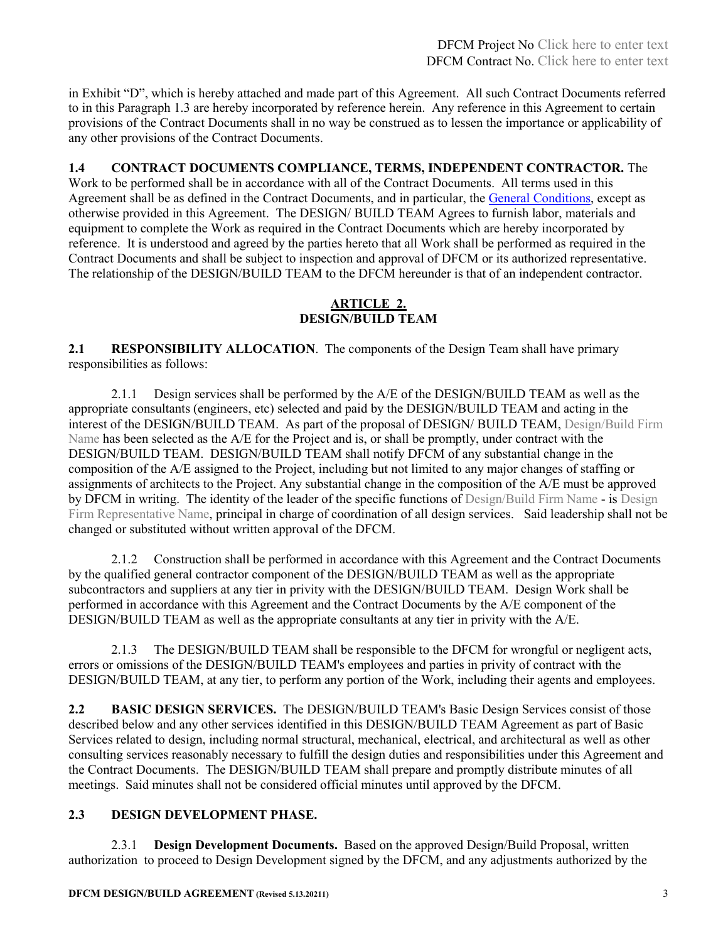in Exhibit "D", which is hereby attached and made part of this Agreement. All such Contract Documents referred to in this Paragraph 1.3 are hereby incorporated by reference herein. Any reference in this Agreement to certain provisions of the Contract Documents shall in no way be construed as to lessen the importance or applicability of any other provisions of the Contract Documents.

## **1.4 CONTRACT DOCUMENTS COMPLIANCE, TERMS, INDEPENDENT CONTRACTOR.** The

Work to be performed shall be in accordance with all of the Contract Documents. All terms used in this Agreement shall be as defined in the Contract Documents, and in particular, the [General Conditions,](https://dfcm.utah.gov/construction-management/#documents) except as otherwise provided in this Agreement. The DESIGN/ BUILD TEAM Agrees to furnish labor, materials and equipment to complete the Work as required in the Contract Documents which are hereby incorporated by reference. It is understood and agreed by the parties hereto that all Work shall be performed as required in the Contract Documents and shall be subject to inspection and approval of DFCM or its authorized representative. The relationship of the DESIGN/BUILD TEAM to the DFCM hereunder is that of an independent contractor.

## **ARTICLE 2. DESIGN/BUILD TEAM**

**2.1 RESPONSIBILITY ALLOCATION**. The components of the Design Team shall have primary responsibilities as follows:

2.1.1 Design services shall be performed by the A/E of the DESIGN/BUILD TEAM as well as the appropriate consultants (engineers, etc) selected and paid by the DESIGN/BUILD TEAM and acting in the interest of the DESIGN/BUILD TEAM. As part of the proposal of DESIGN/ BUILD TEAM, Design/Build Firm Name has been selected as the A/E for the Project and is, or shall be promptly, under contract with the DESIGN/BUILD TEAM. DESIGN/BUILD TEAM shall notify DFCM of any substantial change in the composition of the A/E assigned to the Project, including but not limited to any major changes of staffing or assignments of architects to the Project. Any substantial change in the composition of the A/E must be approved by DFCM in writing. The identity of the leader of the specific functions of Design/Build Firm Name - is Design Firm Representative Name, principal in charge of coordination of all design services. Said leadership shall not be changed or substituted without written approval of the DFCM.

2.1.2 Construction shall be performed in accordance with this Agreement and the Contract Documents by the qualified general contractor component of the DESIGN/BUILD TEAM as well as the appropriate subcontractors and suppliers at any tier in privity with the DESIGN/BUILD TEAM. Design Work shall be performed in accordance with this Agreement and the Contract Documents by the A/E component of the DESIGN/BUILD TEAM as well as the appropriate consultants at any tier in privity with the A/E.

2.1.3 The DESIGN/BUILD TEAM shall be responsible to the DFCM for wrongful or negligent acts, errors or omissions of the DESIGN/BUILD TEAM's employees and parties in privity of contract with the DESIGN/BUILD TEAM, at any tier, to perform any portion of the Work, including their agents and employees.

**2.2 BASIC DESIGN SERVICES.** The DESIGN/BUILD TEAM's Basic Design Services consist of those described below and any other services identified in this DESIGN/BUILD TEAM Agreement as part of Basic Services related to design, including normal structural, mechanical, electrical, and architectural as well as other consulting services reasonably necessary to fulfill the design duties and responsibilities under this Agreement and the Contract Documents. The DESIGN/BUILD TEAM shall prepare and promptly distribute minutes of all meetings. Said minutes shall not be considered official minutes until approved by the DFCM.

## **2.3 DESIGN DEVELOPMENT PHASE.**

2.3.1 **Design Development Documents.** Based on the approved Design/Build Proposal, written authorization to proceed to Design Development signed by the DFCM, and any adjustments authorized by the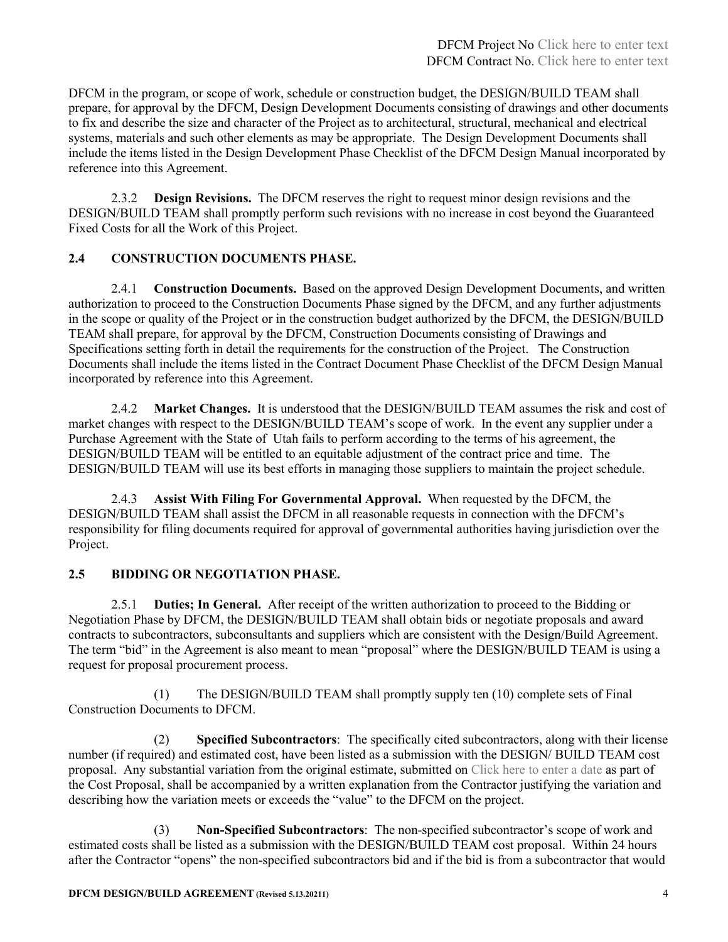DFCM in the program, or scope of work, schedule or construction budget, the DESIGN/BUILD TEAM shall prepare, for approval by the DFCM, Design Development Documents consisting of drawings and other documents to fix and describe the size and character of the Project as to architectural, structural, mechanical and electrical systems, materials and such other elements as may be appropriate. The Design Development Documents shall include the items listed in the Design Development Phase Checklist of the DFCM Design Manual incorporated by reference into this Agreement.

2.3.2 **Design Revisions.** The DFCM reserves the right to request minor design revisions and the DESIGN/BUILD TEAM shall promptly perform such revisions with no increase in cost beyond the Guaranteed Fixed Costs for all the Work of this Project.

## **2.4 CONSTRUCTION DOCUMENTS PHASE.**

2.4.1 **Construction Documents.** Based on the approved Design Development Documents, and written authorization to proceed to the Construction Documents Phase signed by the DFCM, and any further adjustments in the scope or quality of the Project or in the construction budget authorized by the DFCM, the DESIGN/BUILD TEAM shall prepare, for approval by the DFCM, Construction Documents consisting of Drawings and Specifications setting forth in detail the requirements for the construction of the Project. The Construction Documents shall include the items listed in the Contract Document Phase Checklist of the DFCM Design Manual incorporated by reference into this Agreement.

2.4.2 **Market Changes.** It is understood that the DESIGN/BUILD TEAM assumes the risk and cost of market changes with respect to the DESIGN/BUILD TEAM's scope of work. In the event any supplier under a Purchase Agreement with the State of Utah fails to perform according to the terms of his agreement, the DESIGN/BUILD TEAM will be entitled to an equitable adjustment of the contract price and time. The DESIGN/BUILD TEAM will use its best efforts in managing those suppliers to maintain the project schedule.

2.4.3 **Assist With Filing For Governmental Approval.** When requested by the DFCM, the DESIGN/BUILD TEAM shall assist the DFCM in all reasonable requests in connection with the DFCM's responsibility for filing documents required for approval of governmental authorities having jurisdiction over the Project.

## **2.5 BIDDING OR NEGOTIATION PHASE.**

2.5.1 **Duties; In General.** After receipt of the written authorization to proceed to the Bidding or Negotiation Phase by DFCM, the DESIGN/BUILD TEAM shall obtain bids or negotiate proposals and award contracts to subcontractors, subconsultants and suppliers which are consistent with the Design/Build Agreement. The term "bid" in the Agreement is also meant to mean "proposal" where the DESIGN/BUILD TEAM is using a request for proposal procurement process.

(1) The DESIGN/BUILD TEAM shall promptly supply ten (10) complete sets of Final Construction Documents to DFCM.

(2) **Specified Subcontractors**: The specifically cited subcontractors, along with their license number (if required) and estimated cost, have been listed as a submission with the DESIGN/ BUILD TEAM cost proposal. Any substantial variation from the original estimate, submitted on Click here to enter a date as part of the Cost Proposal, shall be accompanied by a written explanation from the Contractor justifying the variation and describing how the variation meets or exceeds the "value" to the DFCM on the project.

(3) **Non-Specified Subcontractors**: The non-specified subcontractor's scope of work and estimated costs shall be listed as a submission with the DESIGN/BUILD TEAM cost proposal. Within 24 hours after the Contractor "opens" the non-specified subcontractors bid and if the bid is from a subcontractor that would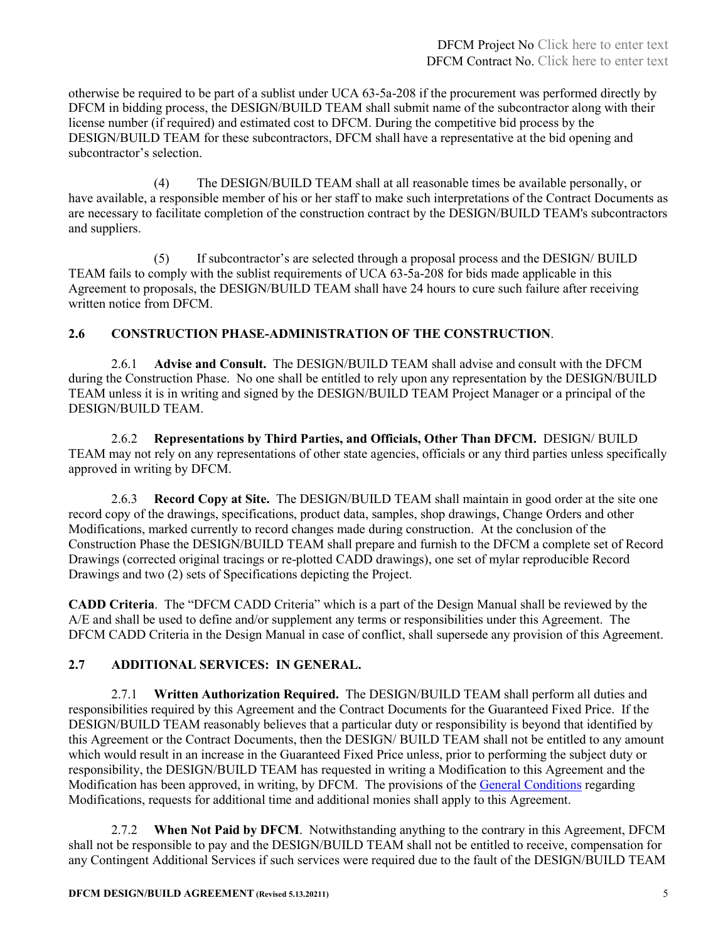otherwise be required to be part of a sublist under UCA 63-5a-208 if the procurement was performed directly by DFCM in bidding process, the DESIGN/BUILD TEAM shall submit name of the subcontractor along with their license number (if required) and estimated cost to DFCM. During the competitive bid process by the DESIGN/BUILD TEAM for these subcontractors, DFCM shall have a representative at the bid opening and subcontractor's selection.

(4) The DESIGN/BUILD TEAM shall at all reasonable times be available personally, or have available, a responsible member of his or her staff to make such interpretations of the Contract Documents as are necessary to facilitate completion of the construction contract by the DESIGN/BUILD TEAM's subcontractors and suppliers.

(5) If subcontractor's are selected through a proposal process and the DESIGN/ BUILD TEAM fails to comply with the sublist requirements of UCA 63-5a-208 for bids made applicable in this Agreement to proposals, the DESIGN/BUILD TEAM shall have 24 hours to cure such failure after receiving written notice from DFCM.

## **2.6 CONSTRUCTION PHASE-ADMINISTRATION OF THE CONSTRUCTION**.

2.6.1 **Advise and Consult.** The DESIGN/BUILD TEAM shall advise and consult with the DFCM during the Construction Phase. No one shall be entitled to rely upon any representation by the DESIGN/BUILD TEAM unless it is in writing and signed by the DESIGN/BUILD TEAM Project Manager or a principal of the DESIGN/BUILD TEAM.

2.6.2 **Representations by Third Parties, and Officials, Other Than DFCM.** DESIGN/ BUILD TEAM may not rely on any representations of other state agencies, officials or any third parties unless specifically approved in writing by DFCM.

2.6.3 **Record Copy at Site.** The DESIGN/BUILD TEAM shall maintain in good order at the site one record copy of the drawings, specifications, product data, samples, shop drawings, Change Orders and other Modifications, marked currently to record changes made during construction. At the conclusion of the Construction Phase the DESIGN/BUILD TEAM shall prepare and furnish to the DFCM a complete set of Record Drawings (corrected original tracings or re-plotted CADD drawings), one set of mylar reproducible Record Drawings and two (2) sets of Specifications depicting the Project.

**CADD Criteria**. The "DFCM CADD Criteria" which is a part of the Design Manual shall be reviewed by the A/E and shall be used to define and/or supplement any terms or responsibilities under this Agreement. The DFCM CADD Criteria in the Design Manual in case of conflict, shall supersede any provision of this Agreement.

## **2.7 ADDITIONAL SERVICES: IN GENERAL.**

2.7.1 **Written Authorization Required.** The DESIGN/BUILD TEAM shall perform all duties and responsibilities required by this Agreement and the Contract Documents for the Guaranteed Fixed Price. If the DESIGN/BUILD TEAM reasonably believes that a particular duty or responsibility is beyond that identified by this Agreement or the Contract Documents, then the DESIGN/ BUILD TEAM shall not be entitled to any amount which would result in an increase in the Guaranteed Fixed Price unless, prior to performing the subject duty or responsibility, the DESIGN/BUILD TEAM has requested in writing a Modification to this Agreement and the Modification has been approved, in writing, by DFCM. The provisions of the [General Conditions](https://dfcm.utah.gov/construction-management/#documents) regarding Modifications, requests for additional time and additional monies shall apply to this Agreement.

2.7.2 **When Not Paid by DFCM**. Notwithstanding anything to the contrary in this Agreement, DFCM shall not be responsible to pay and the DESIGN/BUILD TEAM shall not be entitled to receive, compensation for any Contingent Additional Services if such services were required due to the fault of the DESIGN/BUILD TEAM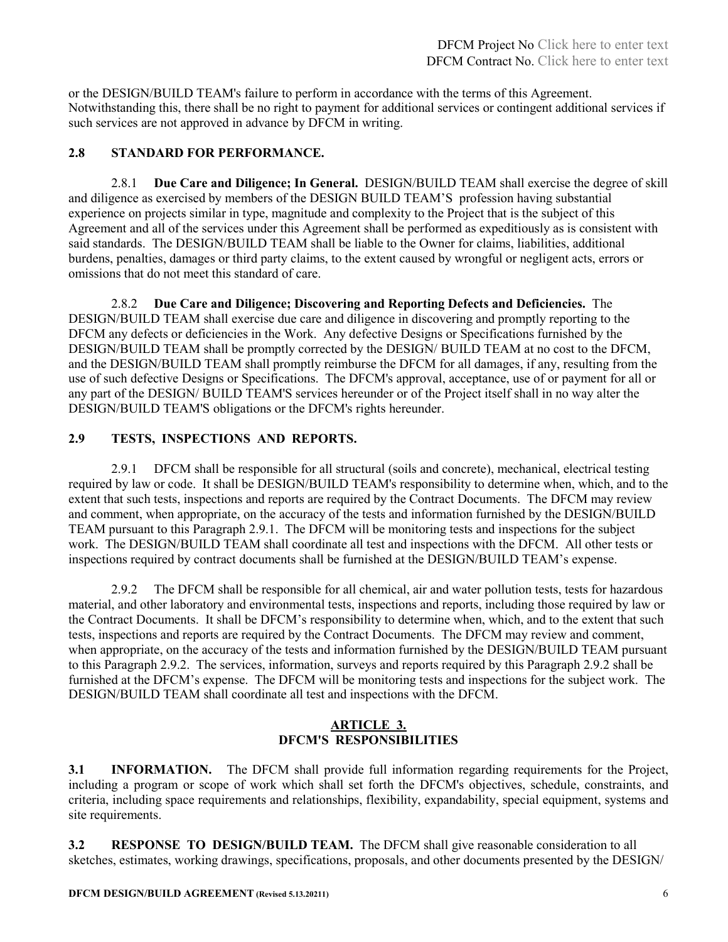or the DESIGN/BUILD TEAM's failure to perform in accordance with the terms of this Agreement. Notwithstanding this, there shall be no right to payment for additional services or contingent additional services if such services are not approved in advance by DFCM in writing.

## **2.8 STANDARD FOR PERFORMANCE.**

2.8.1 **Due Care and Diligence; In General.** DESIGN/BUILD TEAM shall exercise the degree of skill and diligence as exercised by members of the DESIGN BUILD TEAM'S profession having substantial experience on projects similar in type, magnitude and complexity to the Project that is the subject of this Agreement and all of the services under this Agreement shall be performed as expeditiously as is consistent with said standards. The DESIGN/BUILD TEAM shall be liable to the Owner for claims, liabilities, additional burdens, penalties, damages or third party claims, to the extent caused by wrongful or negligent acts, errors or omissions that do not meet this standard of care.

2.8.2 **Due Care and Diligence; Discovering and Reporting Defects and Deficiencies.** The DESIGN/BUILD TEAM shall exercise due care and diligence in discovering and promptly reporting to the DFCM any defects or deficiencies in the Work. Any defective Designs or Specifications furnished by the DESIGN/BUILD TEAM shall be promptly corrected by the DESIGN/ BUILD TEAM at no cost to the DFCM, and the DESIGN/BUILD TEAM shall promptly reimburse the DFCM for all damages, if any, resulting from the use of such defective Designs or Specifications. The DFCM's approval, acceptance, use of or payment for all or any part of the DESIGN/ BUILD TEAM'S services hereunder or of the Project itself shall in no way alter the DESIGN/BUILD TEAM'S obligations or the DFCM's rights hereunder.

## **2.9 TESTS, INSPECTIONS AND REPORTS.**

2.9.1 DFCM shall be responsible for all structural (soils and concrete), mechanical, electrical testing required by law or code. It shall be DESIGN/BUILD TEAM's responsibility to determine when, which, and to the extent that such tests, inspections and reports are required by the Contract Documents. The DFCM may review and comment, when appropriate, on the accuracy of the tests and information furnished by the DESIGN/BUILD TEAM pursuant to this Paragraph 2.9.1. The DFCM will be monitoring tests and inspections for the subject work. The DESIGN/BUILD TEAM shall coordinate all test and inspections with the DFCM. All other tests or inspections required by contract documents shall be furnished at the DESIGN/BUILD TEAM's expense.

2.9.2 The DFCM shall be responsible for all chemical, air and water pollution tests, tests for hazardous material, and other laboratory and environmental tests, inspections and reports, including those required by law or the Contract Documents. It shall be DFCM's responsibility to determine when, which, and to the extent that such tests, inspections and reports are required by the Contract Documents. The DFCM may review and comment, when appropriate, on the accuracy of the tests and information furnished by the DESIGN/BUILD TEAM pursuant to this Paragraph 2.9.2. The services, information, surveys and reports required by this Paragraph 2.9.2 shall be furnished at the DFCM's expense. The DFCM will be monitoring tests and inspections for the subject work. The DESIGN/BUILD TEAM shall coordinate all test and inspections with the DFCM.

#### **ARTICLE 3. DFCM'S RESPONSIBILITIES**

**3.1 INFORMATION.** The DFCM shall provide full information regarding requirements for the Project, including a program or scope of work which shall set forth the DFCM's objectives, schedule, constraints, and criteria, including space requirements and relationships, flexibility, expandability, special equipment, systems and site requirements.

**3.2 RESPONSE TO DESIGN/BUILD TEAM.** The DFCM shall give reasonable consideration to all sketches, estimates, working drawings, specifications, proposals, and other documents presented by the DESIGN/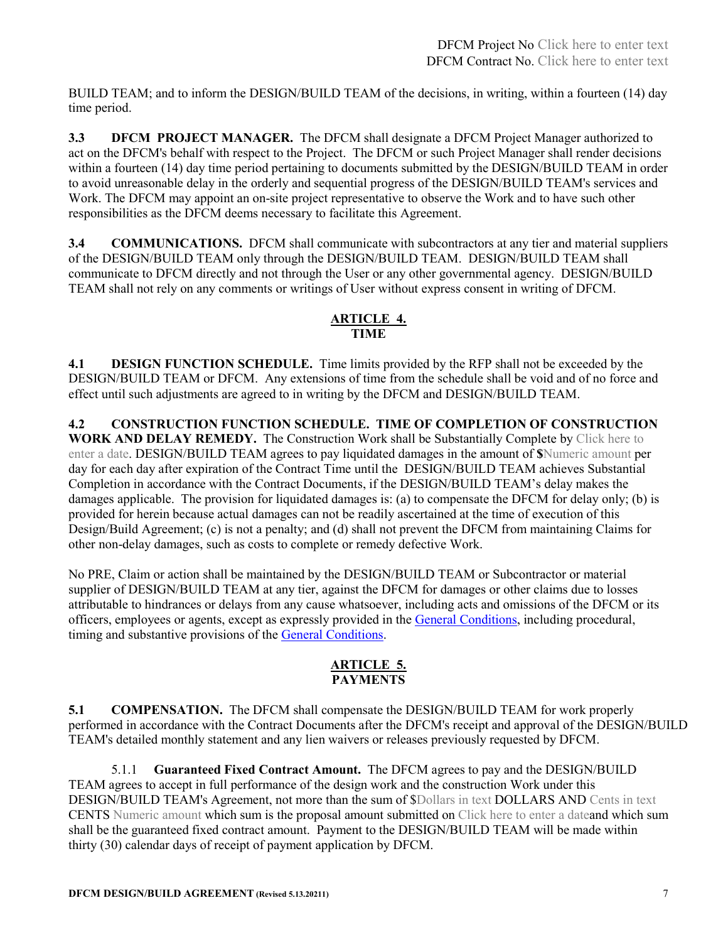BUILD TEAM; and to inform the DESIGN/BUILD TEAM of the decisions, in writing, within a fourteen (14) day time period.

**3.3 DFCM PROJECT MANAGER.** The DFCM shall designate a DFCM Project Manager authorized to act on the DFCM's behalf with respect to the Project. The DFCM or such Project Manager shall render decisions within a fourteen (14) day time period pertaining to documents submitted by the DESIGN/BUILD TEAM in order to avoid unreasonable delay in the orderly and sequential progress of the DESIGN/BUILD TEAM's services and Work. The DFCM may appoint an on-site project representative to observe the Work and to have such other responsibilities as the DFCM deems necessary to facilitate this Agreement.

**3.4 COMMUNICATIONS.** DFCM shall communicate with subcontractors at any tier and material suppliers of the DESIGN/BUILD TEAM only through the DESIGN/BUILD TEAM. DESIGN/BUILD TEAM shall communicate to DFCM directly and not through the User or any other governmental agency. DESIGN/BUILD TEAM shall not rely on any comments or writings of User without express consent in writing of DFCM.

## **ARTICLE 4. TIME**

**4.1 DESIGN FUNCTION SCHEDULE.** Time limits provided by the RFP shall not be exceeded by the DESIGN/BUILD TEAM or DFCM. Any extensions of time from the schedule shall be void and of no force and effect until such adjustments are agreed to in writing by the DFCM and DESIGN/BUILD TEAM.

**4.2 CONSTRUCTION FUNCTION SCHEDULE. TIME OF COMPLETION OF CONSTRUCTION WORK AND DELAY REMEDY.** The Construction Work shall be Substantially Complete by Click here to enter a date. DESIGN/BUILD TEAM agrees to pay liquidated damages in the amount of **\$**Numeric amount per day for each day after expiration of the Contract Time until the DESIGN/BUILD TEAM achieves Substantial Completion in accordance with the Contract Documents, if the DESIGN/BUILD TEAM's delay makes the damages applicable. The provision for liquidated damages is: (a) to compensate the DFCM for delay only; (b) is provided for herein because actual damages can not be readily ascertained at the time of execution of this Design/Build Agreement; (c) is not a penalty; and (d) shall not prevent the DFCM from maintaining Claims for other non-delay damages, such as costs to complete or remedy defective Work.

No PRE, Claim or action shall be maintained by the DESIGN/BUILD TEAM or Subcontractor or material supplier of DESIGN/BUILD TEAM at any tier, against the DFCM for damages or other claims due to losses attributable to hindrances or delays from any cause whatsoever, including acts and omissions of the DFCM or its officers, employees or agents, except as expressly provided in the [General Conditions,](https://dfcm.utah.gov/construction-management/#documents) including procedural, timing and substantive provisions of the [General Conditions.](https://dfcm.utah.gov/construction-management/#documents)

## **ARTICLE 5. PAYMENTS**

**5.1 COMPENSATION.** The DFCM shall compensate the DESIGN/BUILD TEAM for work properly performed in accordance with the Contract Documents after the DFCM's receipt and approval of the DESIGN/BUILD TEAM's detailed monthly statement and any lien waivers or releases previously requested by DFCM.

5.1.1 **Guaranteed Fixed Contract Amount.** The DFCM agrees to pay and the DESIGN/BUILD TEAM agrees to accept in full performance of the design work and the construction Work under this DESIGN/BUILD TEAM's Agreement, not more than the sum of \$Dollars in text DOLLARS AND Cents in text CENTS Numeric amount which sum is the proposal amount submitted on Click here to enter a dateand which sum shall be the guaranteed fixed contract amount. Payment to the DESIGN/BUILD TEAM will be made within thirty (30) calendar days of receipt of payment application by DFCM.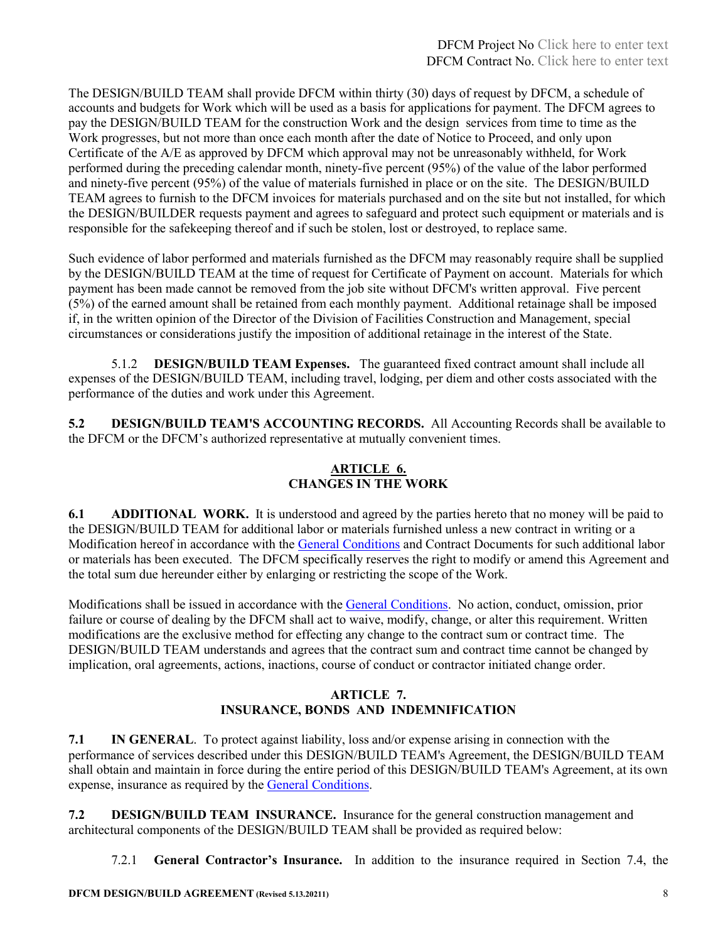The DESIGN/BUILD TEAM shall provide DFCM within thirty (30) days of request by DFCM, a schedule of accounts and budgets for Work which will be used as a basis for applications for payment. The DFCM agrees to pay the DESIGN/BUILD TEAM for the construction Work and the design services from time to time as the Work progresses, but not more than once each month after the date of Notice to Proceed, and only upon Certificate of the A/E as approved by DFCM which approval may not be unreasonably withheld, for Work performed during the preceding calendar month, ninety-five percent (95%) of the value of the labor performed and ninety-five percent (95%) of the value of materials furnished in place or on the site. The DESIGN/BUILD TEAM agrees to furnish to the DFCM invoices for materials purchased and on the site but not installed, for which the DESIGN/BUILDER requests payment and agrees to safeguard and protect such equipment or materials and is responsible for the safekeeping thereof and if such be stolen, lost or destroyed, to replace same.

Such evidence of labor performed and materials furnished as the DFCM may reasonably require shall be supplied by the DESIGN/BUILD TEAM at the time of request for Certificate of Payment on account. Materials for which payment has been made cannot be removed from the job site without DFCM's written approval. Five percent (5%) of the earned amount shall be retained from each monthly payment. Additional retainage shall be imposed if, in the written opinion of the Director of the Division of Facilities Construction and Management, special circumstances or considerations justify the imposition of additional retainage in the interest of the State.

5.1.2 **DESIGN/BUILD TEAM Expenses.** The guaranteed fixed contract amount shall include all expenses of the DESIGN/BUILD TEAM, including travel, lodging, per diem and other costs associated with the performance of the duties and work under this Agreement.

**5.2 DESIGN/BUILD TEAM'S ACCOUNTING RECORDS.** All Accounting Records shall be available to the DFCM or the DFCM's authorized representative at mutually convenient times.

## **ARTICLE 6. CHANGES IN THE WORK**

**6.1 ADDITIONAL WORK.** It is understood and agreed by the parties hereto that no money will be paid to the DESIGN/BUILD TEAM for additional labor or materials furnished unless a new contract in writing or a Modification hereof in accordance with th[e General Conditions](https://dfcm.utah.gov/construction-management/#documents) and Contract Documents for such additional labor or materials has been executed. The DFCM specifically reserves the right to modify or amend this Agreement and the total sum due hereunder either by enlarging or restricting the scope of the Work.

Modifications shall be issued in accordance with the [General Conditions.](https://dfcm.utah.gov/construction-management/#documents) No action, conduct, omission, prior failure or course of dealing by the DFCM shall act to waive, modify, change, or alter this requirement. Written modifications are the exclusive method for effecting any change to the contract sum or contract time. The DESIGN/BUILD TEAM understands and agrees that the contract sum and contract time cannot be changed by implication, oral agreements, actions, inactions, course of conduct or contractor initiated change order.

## **ARTICLE 7. INSURANCE, BONDS AND INDEMNIFICATION**

**7.1 IN GENERAL**. To protect against liability, loss and/or expense arising in connection with the performance of services described under this DESIGN/BUILD TEAM's Agreement, the DESIGN/BUILD TEAM shall obtain and maintain in force during the entire period of this DESIGN/BUILD TEAM's Agreement, at its own expense, insurance as required by th[e General Conditions.](https://dfcm.utah.gov/construction-management/#documents)

**7.2 DESIGN/BUILD TEAM INSURANCE.** Insurance for the general construction management and architectural components of the DESIGN/BUILD TEAM shall be provided as required below:

7.2.1 **General Contractor's Insurance.** In addition to the insurance required in Section 7.4, the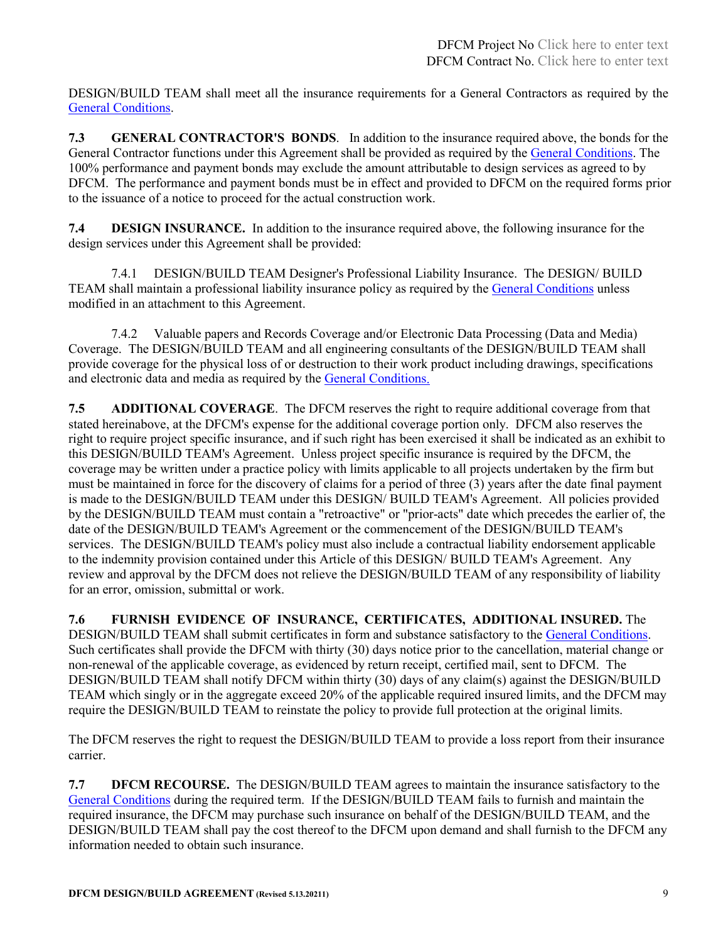DESIGN/BUILD TEAM shall meet all the insurance requirements for a General Contractors as required by the [General Conditions.](https://dfcm.utah.gov/construction-management/#documents)

**7.3 GENERAL CONTRACTOR'S BONDS**. In addition to the insurance required above, the bonds for the General Contractor functions under this Agreement shall be provided as required by the [General Conditions.](https://dfcm.utah.gov/construction-management/#documents) The 100% performance and payment bonds may exclude the amount attributable to design services as agreed to by DFCM. The performance and payment bonds must be in effect and provided to DFCM on the required forms prior to the issuance of a notice to proceed for the actual construction work.

**7.4 DESIGN INSURANCE.** In addition to the insurance required above, the following insurance for the design services under this Agreement shall be provided:

7.4.1 DESIGN/BUILD TEAM Designer's Professional Liability Insurance. The DESIGN/ BUILD TEAM shall maintain a professional liability insurance policy as required by the [General Conditions](https://dfcm.utah.gov/construction-management/#documents) unless modified in an attachment to this Agreement.

7.4.2 Valuable papers and Records Coverage and/or Electronic Data Processing (Data and Media) Coverage. The DESIGN/BUILD TEAM and all engineering consultants of the DESIGN/BUILD TEAM shall provide coverage for the physical loss of or destruction to their work product including drawings, specifications and electronic data and media as required by the [General Conditions.](https://dfcm.utah.gov/construction-management/#documents)

**7.5 ADDITIONAL COVERAGE**. The DFCM reserves the right to require additional coverage from that stated hereinabove, at the DFCM's expense for the additional coverage portion only. DFCM also reserves the right to require project specific insurance, and if such right has been exercised it shall be indicated as an exhibit to this DESIGN/BUILD TEAM's Agreement. Unless project specific insurance is required by the DFCM, the coverage may be written under a practice policy with limits applicable to all projects undertaken by the firm but must be maintained in force for the discovery of claims for a period of three (3) years after the date final payment is made to the DESIGN/BUILD TEAM under this DESIGN/ BUILD TEAM's Agreement. All policies provided by the DESIGN/BUILD TEAM must contain a "retroactive" or "prior-acts" date which precedes the earlier of, the date of the DESIGN/BUILD TEAM's Agreement or the commencement of the DESIGN/BUILD TEAM's services. The DESIGN/BUILD TEAM's policy must also include a contractual liability endorsement applicable to the indemnity provision contained under this Article of this DESIGN/ BUILD TEAM's Agreement. Any review and approval by the DFCM does not relieve the DESIGN/BUILD TEAM of any responsibility of liability for an error, omission, submittal or work.

**7.6 FURNISH EVIDENCE OF INSURANCE, CERTIFICATES, ADDITIONAL INSURED.** The DESIGN/BUILD TEAM shall submit certificates in form and substance satisfactory to the [General Conditions.](https://dfcm.utah.gov/construction-management/#documents) Such certificates shall provide the DFCM with thirty (30) days notice prior to the cancellation, material change or non-renewal of the applicable coverage, as evidenced by return receipt, certified mail, sent to DFCM. The DESIGN/BUILD TEAM shall notify DFCM within thirty (30) days of any claim(s) against the DESIGN/BUILD TEAM which singly or in the aggregate exceed 20% of the applicable required insured limits, and the DFCM may require the DESIGN/BUILD TEAM to reinstate the policy to provide full protection at the original limits.

The DFCM reserves the right to request the DESIGN/BUILD TEAM to provide a loss report from their insurance carrier.

**7.7 DFCM RECOURSE.** The DESIGN/BUILD TEAM agrees to maintain the insurance satisfactory to the [General Conditions](https://dfcm.utah.gov/construction-management/#documents) during the required term. If the DESIGN/BUILD TEAM fails to furnish and maintain the required insurance, the DFCM may purchase such insurance on behalf of the DESIGN/BUILD TEAM, and the DESIGN/BUILD TEAM shall pay the cost thereof to the DFCM upon demand and shall furnish to the DFCM any information needed to obtain such insurance.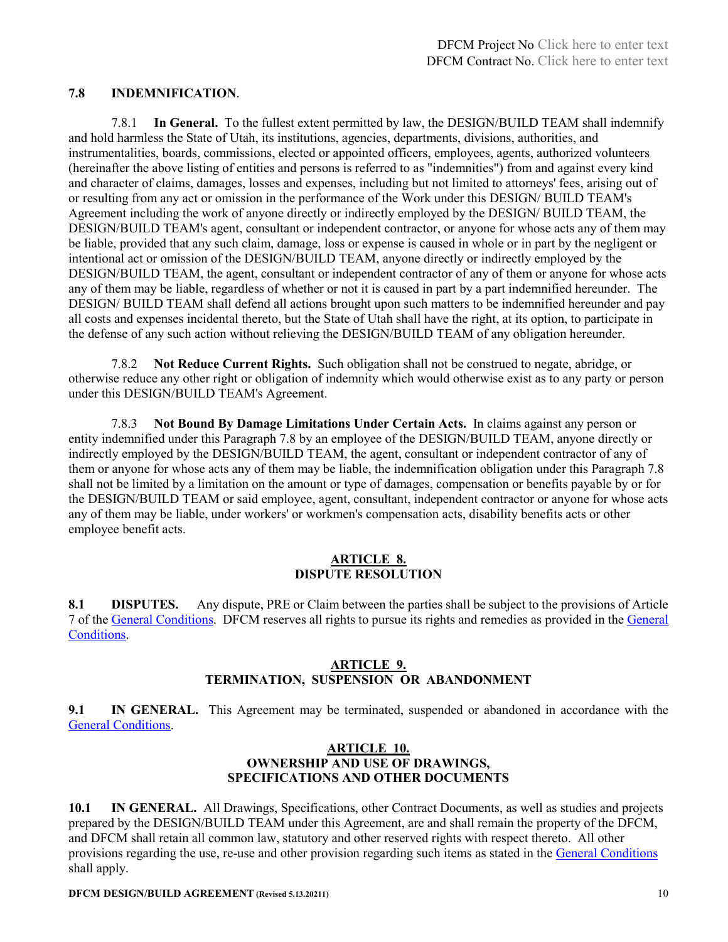#### **7.8 INDEMNIFICATION**.

7.8.1 **In General.** To the fullest extent permitted by law, the DESIGN/BUILD TEAM shall indemnify and hold harmless the State of Utah, its institutions, agencies, departments, divisions, authorities, and instrumentalities, boards, commissions, elected or appointed officers, employees, agents, authorized volunteers (hereinafter the above listing of entities and persons is referred to as "indemnities") from and against every kind and character of claims, damages, losses and expenses, including but not limited to attorneys' fees, arising out of or resulting from any act or omission in the performance of the Work under this DESIGN/ BUILD TEAM's Agreement including the work of anyone directly or indirectly employed by the DESIGN/ BUILD TEAM, the DESIGN/BUILD TEAM's agent, consultant or independent contractor, or anyone for whose acts any of them may be liable, provided that any such claim, damage, loss or expense is caused in whole or in part by the negligent or intentional act or omission of the DESIGN/BUILD TEAM, anyone directly or indirectly employed by the DESIGN/BUILD TEAM, the agent, consultant or independent contractor of any of them or anyone for whose acts any of them may be liable, regardless of whether or not it is caused in part by a part indemnified hereunder. The DESIGN/ BUILD TEAM shall defend all actions brought upon such matters to be indemnified hereunder and pay all costs and expenses incidental thereto, but the State of Utah shall have the right, at its option, to participate in the defense of any such action without relieving the DESIGN/BUILD TEAM of any obligation hereunder.

7.8.2 **Not Reduce Current Rights.** Such obligation shall not be construed to negate, abridge, or otherwise reduce any other right or obligation of indemnity which would otherwise exist as to any party or person under this DESIGN/BUILD TEAM's Agreement.

7.8.3 **Not Bound By Damage Limitations Under Certain Acts.** In claims against any person or entity indemnified under this Paragraph 7.8 by an employee of the DESIGN/BUILD TEAM, anyone directly or indirectly employed by the DESIGN/BUILD TEAM, the agent, consultant or independent contractor of any of them or anyone for whose acts any of them may be liable, the indemnification obligation under this Paragraph 7.8 shall not be limited by a limitation on the amount or type of damages, compensation or benefits payable by or for the DESIGN/BUILD TEAM or said employee, agent, consultant, independent contractor or anyone for whose acts any of them may be liable, under workers' or workmen's compensation acts, disability benefits acts or other employee benefit acts.

#### **ARTICLE 8. DISPUTE RESOLUTION**

**8.1 DISPUTES.** Any dispute, PRE or Claim between the parties shall be subject to the provisions of Article 7 of th[e General Conditions.](https://dfcm.utah.gov/construction-management/#documents) DFCM reserves all rights to pursue its rights and remedies as provided in the [General](https://dfcm.utah.gov/construction-management/#documents)  [Conditions.](https://dfcm.utah.gov/construction-management/#documents)

#### **ARTICLE 9. TERMINATION, SUSPENSION OR ABANDONMENT**

**9.1 IN GENERAL.** This Agreement may be terminated, suspended or abandoned in accordance with the [General Conditions.](https://dfcm.utah.gov/construction-management/#documents)

#### **ARTICLE 10. OWNERSHIP AND USE OF DRAWINGS, SPECIFICATIONS AND OTHER DOCUMENTS**

**10.1 IN GENERAL.** All Drawings, Specifications, other Contract Documents, as well as studies and projects prepared by the DESIGN/BUILD TEAM under this Agreement, are and shall remain the property of the DFCM, and DFCM shall retain all common law, statutory and other reserved rights with respect thereto. All other provisions regarding the use, re-use and other provision regarding such items as stated in th[e General Conditions](https://dfcm.utah.gov/construction-management/#documents) shall apply.

**DFCM DESIGN/BUILD AGREEMENT** (Revised 5.13.20211) 10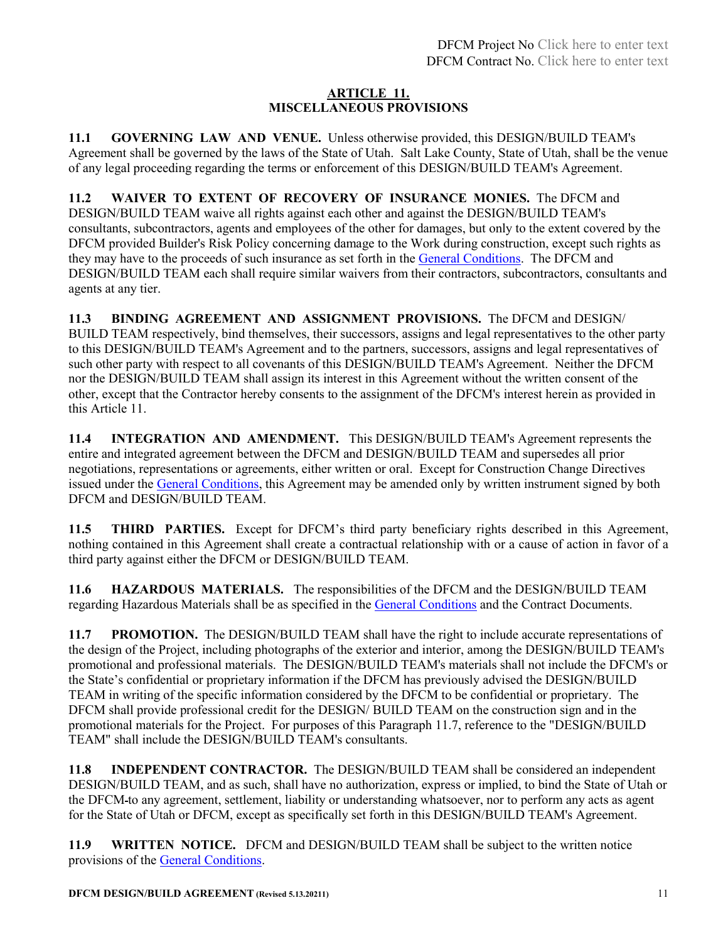#### **ARTICLE 11. MISCELLANEOUS PROVISIONS**

**11.1 GOVERNING LAW AND VENUE.** Unless otherwise provided, this DESIGN/BUILD TEAM's Agreement shall be governed by the laws of the State of Utah. Salt Lake County, State of Utah, shall be the venue of any legal proceeding regarding the terms or enforcement of this DESIGN/BUILD TEAM's Agreement.

**11.2 WAIVER TO EXTENT OF RECOVERY OF INSURANCE MONIES.** The DFCM and DESIGN/BUILD TEAM waive all rights against each other and against the DESIGN/BUILD TEAM's consultants, subcontractors, agents and employees of the other for damages, but only to the extent covered by the DFCM provided Builder's Risk Policy concerning damage to the Work during construction, except such rights as they may have to the proceeds of such insurance as set forth in the [General Conditions.](https://dfcm.utah.gov/construction-management/#documents) The DFCM and DESIGN/BUILD TEAM each shall require similar waivers from their contractors, subcontractors, consultants and agents at any tier.

**11.3 BINDING AGREEMENT AND ASSIGNMENT PROVISIONS.** The DFCM and DESIGN/ BUILD TEAM respectively, bind themselves, their successors, assigns and legal representatives to the other party to this DESIGN/BUILD TEAM's Agreement and to the partners, successors, assigns and legal representatives of such other party with respect to all covenants of this DESIGN/BUILD TEAM's Agreement. Neither the DFCM nor the DESIGN/BUILD TEAM shall assign its interest in this Agreement without the written consent of the other, except that the Contractor hereby consents to the assignment of the DFCM's interest herein as provided in this Article 11.

**11.4 INTEGRATION AND AMENDMENT.** This DESIGN/BUILD TEAM's Agreement represents the entire and integrated agreement between the DFCM and DESIGN/BUILD TEAM and supersedes all prior negotiations, representations or agreements, either written or oral. Except for Construction Change Directives issued under the [General Conditions,](https://dfcm.utah.gov/construction-management/#documents) this Agreement may be amended only by written instrument signed by both DFCM and DESIGN/BUILD TEAM.

**11.5 THIRD PARTIES.** Except for DFCM's third party beneficiary rights described in this Agreement, nothing contained in this Agreement shall create a contractual relationship with or a cause of action in favor of a third party against either the DFCM or DESIGN/BUILD TEAM.

**11.6 HAZARDOUS MATERIALS.** The responsibilities of the DFCM and the DESIGN/BUILD TEAM regarding Hazardous Materials shall be as specified in the [General Conditions](https://dfcm.utah.gov/construction-management/#documents) and the Contract Documents.

**11.7 PROMOTION.** The DESIGN/BUILD TEAM shall have the right to include accurate representations of the design of the Project, including photographs of the exterior and interior, among the DESIGN/BUILD TEAM's promotional and professional materials. The DESIGN/BUILD TEAM's materials shall not include the DFCM's or the State's confidential or proprietary information if the DFCM has previously advised the DESIGN/BUILD TEAM in writing of the specific information considered by the DFCM to be confidential or proprietary. The DFCM shall provide professional credit for the DESIGN/ BUILD TEAM on the construction sign and in the promotional materials for the Project. For purposes of this Paragraph 11.7, reference to the "DESIGN/BUILD TEAM" shall include the DESIGN/BUILD TEAM's consultants.

**11.8 INDEPENDENT CONTRACTOR.** The DESIGN/BUILD TEAM shall be considered an independent DESIGN/BUILD TEAM, and as such, shall have no authorization, express or implied, to bind the State of Utah or the DFCM to any agreement, settlement, liability or understanding whatsoever, nor to perform any acts as agent for the State of Utah or DFCM, except as specifically set forth in this DESIGN/BUILD TEAM's Agreement.

**11.9 WRITTEN NOTICE.** DFCM and DESIGN/BUILD TEAM shall be subject to the written notice provisions of the [General Conditions.](https://dfcm.utah.gov/construction-management/#documents)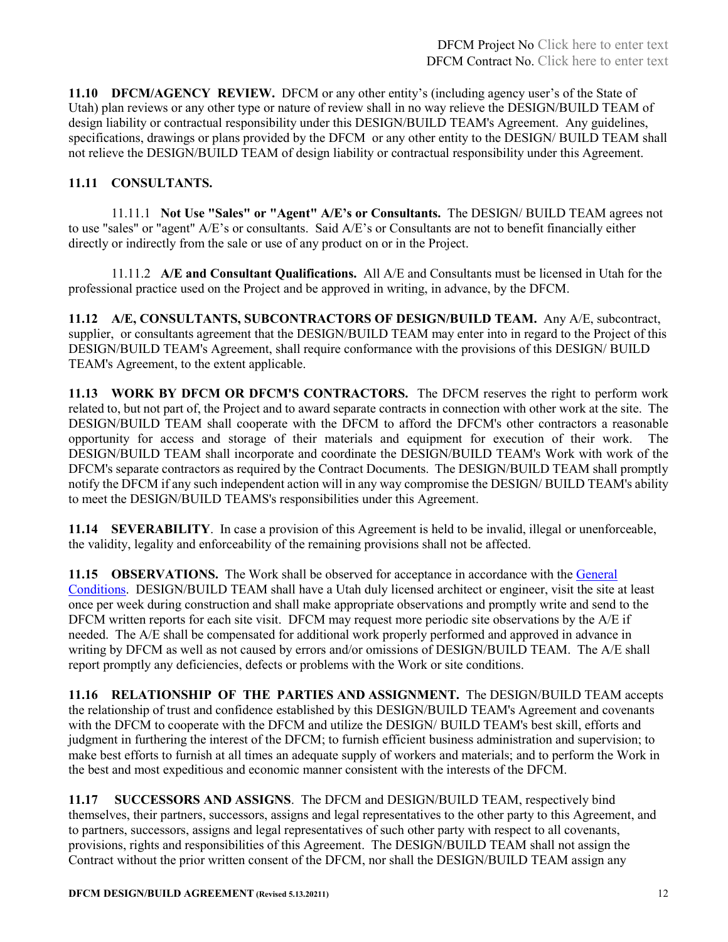**11.10 DFCM/AGENCY REVIEW.** DFCM or any other entity's (including agency user's of the State of Utah) plan reviews or any other type or nature of review shall in no way relieve the DESIGN/BUILD TEAM of design liability or contractual responsibility under this DESIGN/BUILD TEAM's Agreement. Any guidelines, specifications, drawings or plans provided by the DFCM or any other entity to the DESIGN/ BUILD TEAM shall not relieve the DESIGN/BUILD TEAM of design liability or contractual responsibility under this Agreement.

## **11.11 CONSULTANTS.**

11.11.1 **Not Use "Sales" or "Agent" A/E's or Consultants.** The DESIGN/ BUILD TEAM agrees not to use "sales" or "agent" A/E's or consultants. Said A/E's or Consultants are not to benefit financially either directly or indirectly from the sale or use of any product on or in the Project.

11.11.2 **A/E and Consultant Qualifications.** All A/E and Consultants must be licensed in Utah for the professional practice used on the Project and be approved in writing, in advance, by the DFCM.

**11.12 A/E, CONSULTANTS, SUBCONTRACTORS OF DESIGN/BUILD TEAM.** Any A/E, subcontract, supplier, or consultants agreement that the DESIGN/BUILD TEAM may enter into in regard to the Project of this DESIGN/BUILD TEAM's Agreement, shall require conformance with the provisions of this DESIGN/ BUILD TEAM's Agreement, to the extent applicable.

**11.13 WORK BY DFCM OR DFCM'S CONTRACTORS.** The DFCM reserves the right to perform work related to, but not part of, the Project and to award separate contracts in connection with other work at the site. The DESIGN/BUILD TEAM shall cooperate with the DFCM to afford the DFCM's other contractors a reasonable opportunity for access and storage of their materials and equipment for execution of their work. The DESIGN/BUILD TEAM shall incorporate and coordinate the DESIGN/BUILD TEAM's Work with work of the DFCM's separate contractors as required by the Contract Documents. The DESIGN/BUILD TEAM shall promptly notify the DFCM if any such independent action will in any way compromise the DESIGN/ BUILD TEAM's ability to meet the DESIGN/BUILD TEAMS's responsibilities under this Agreement.

**11.14 SEVERABILITY**. In case a provision of this Agreement is held to be invalid, illegal or unenforceable, the validity, legality and enforceability of the remaining provisions shall not be affected.

**11.15 OBSERVATIONS.** The Work shall be observed for acceptance in accordance with the General [Conditions.](https://dfcm.utah.gov/construction-management/#documents) DESIGN/BUILD TEAM shall have a Utah duly licensed architect or engineer, visit the site at least once per week during construction and shall make appropriate observations and promptly write and send to the DFCM written reports for each site visit. DFCM may request more periodic site observations by the A/E if needed. The A/E shall be compensated for additional work properly performed and approved in advance in writing by DFCM as well as not caused by errors and/or omissions of DESIGN/BUILD TEAM. The A/E shall report promptly any deficiencies, defects or problems with the Work or site conditions.

**11.16 RELATIONSHIP OF THE PARTIES AND ASSIGNMENT.** The DESIGN/BUILD TEAM accepts the relationship of trust and confidence established by this DESIGN/BUILD TEAM's Agreement and covenants with the DFCM to cooperate with the DFCM and utilize the DESIGN/ BUILD TEAM's best skill, efforts and judgment in furthering the interest of the DFCM; to furnish efficient business administration and supervision; to make best efforts to furnish at all times an adequate supply of workers and materials; and to perform the Work in the best and most expeditious and economic manner consistent with the interests of the DFCM.

**11.17 SUCCESSORS AND ASSIGNS**. The DFCM and DESIGN/BUILD TEAM, respectively bind themselves, their partners, successors, assigns and legal representatives to the other party to this Agreement, and to partners, successors, assigns and legal representatives of such other party with respect to all covenants, provisions, rights and responsibilities of this Agreement. The DESIGN/BUILD TEAM shall not assign the Contract without the prior written consent of the DFCM, nor shall the DESIGN/BUILD TEAM assign any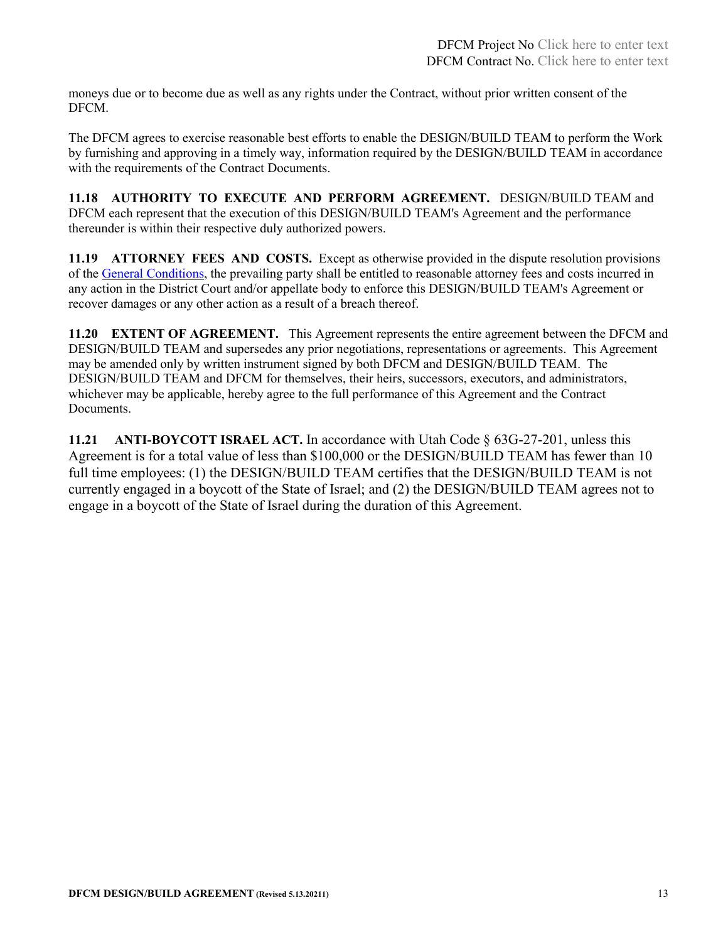moneys due or to become due as well as any rights under the Contract, without prior written consent of the DFCM.

The DFCM agrees to exercise reasonable best efforts to enable the DESIGN/BUILD TEAM to perform the Work by furnishing and approving in a timely way, information required by the DESIGN/BUILD TEAM in accordance with the requirements of the Contract Documents.

**11.18 AUTHORITY TO EXECUTE AND PERFORM AGREEMENT.** DESIGN/BUILD TEAM and DFCM each represent that the execution of this DESIGN/BUILD TEAM's Agreement and the performance thereunder is within their respective duly authorized powers.

**11.19 ATTORNEY FEES AND COSTS.** Except as otherwise provided in the dispute resolution provisions of th[e General Conditions,](https://dfcm.utah.gov/construction-management/#documents) the prevailing party shall be entitled to reasonable attorney fees and costs incurred in any action in the District Court and/or appellate body to enforce this DESIGN/BUILD TEAM's Agreement or recover damages or any other action as a result of a breach thereof.

**11.20 EXTENT OF AGREEMENT.** This Agreement represents the entire agreement between the DFCM and DESIGN/BUILD TEAM and supersedes any prior negotiations, representations or agreements. This Agreement may be amended only by written instrument signed by both DFCM and DESIGN/BUILD TEAM. The DESIGN/BUILD TEAM and DFCM for themselves, their heirs, successors, executors, and administrators, whichever may be applicable, hereby agree to the full performance of this Agreement and the Contract Documents.

**11.21 ANTI-BOYCOTT ISRAEL ACT.** In accordance with Utah Code § 63G-27-201, unless this Agreement is for a total value of less than \$100,000 or the DESIGN/BUILD TEAM has fewer than 10 full time employees: (1) the DESIGN/BUILD TEAM certifies that the DESIGN/BUILD TEAM is not currently engaged in a boycott of the State of Israel; and (2) the DESIGN/BUILD TEAM agrees not to engage in a boycott of the State of Israel during the duration of this Agreement.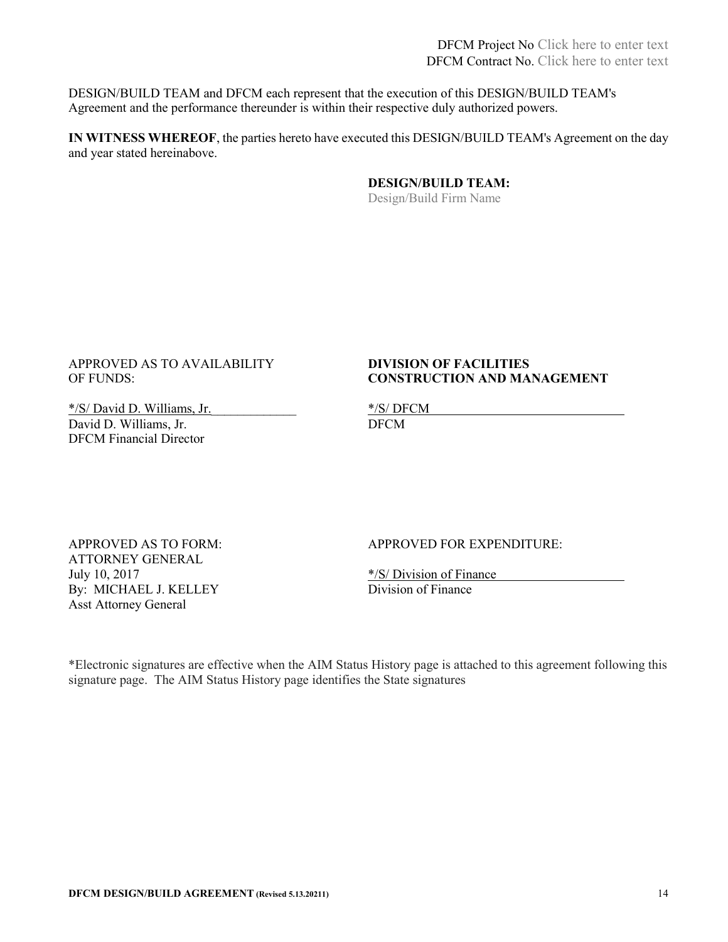DESIGN/BUILD TEAM and DFCM each represent that the execution of this DESIGN/BUILD TEAM's Agreement and the performance thereunder is within their respective duly authorized powers.

**IN WITNESS WHEREOF**, the parties hereto have executed this DESIGN/BUILD TEAM's Agreement on the day and year stated hereinabove.

> **DESIGN/BUILD TEAM:**  Design/Build Firm Name

#### APPROVED AS TO AVAILABILITY **DIVISION OF FACILITIES** OF FUNDS: **CONSTRUCTION AND MANAGEMENT**

\*/S/ David D. Williams, Jr.<br>David D. Williams, Jr. DECM David D. Williams, Jr. DFCM Financial Director

ATTORNEY GENERAL July 10, 2017<br>By: MICHAEL J. KELLEY<br>Division of Finance By: MICHAEL J. KELLEY Asst Attorney General

APPROVED AS TO FORM: APPROVED FOR EXPENDITURE:

\*Electronic signatures are effective when the AIM Status History page is attached to this agreement following this signature page. The AIM Status History page identifies the State signatures